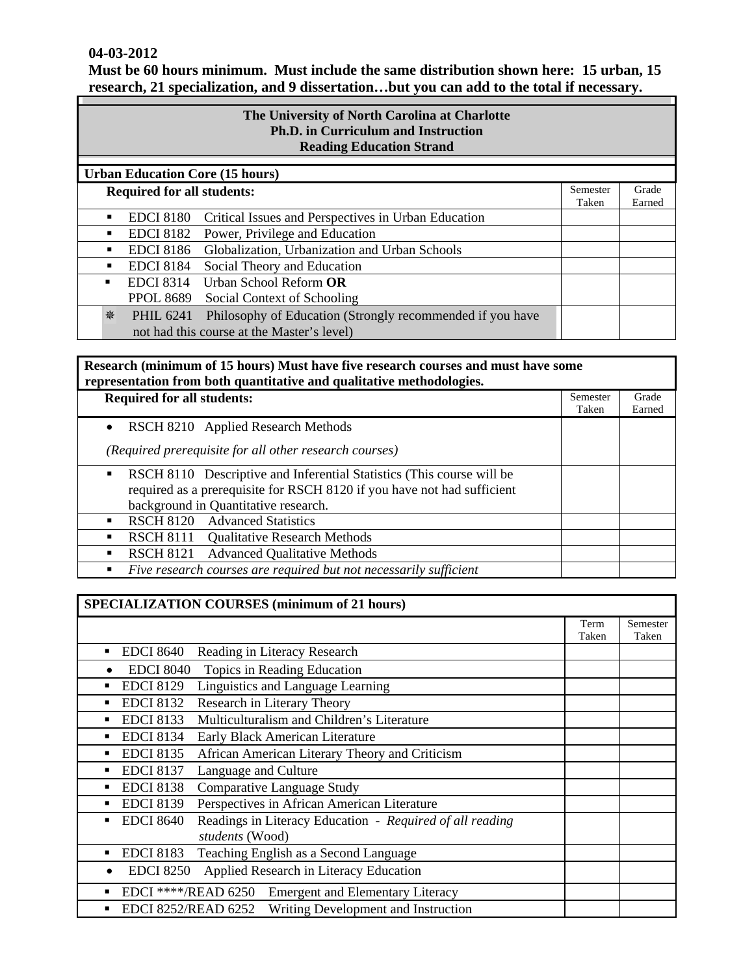### **04-03-2012**

| Must be 60 hours minimum. Must include the same distribution shown here: 15 urban, 15     |  |  |  |  |  |  |
|-------------------------------------------------------------------------------------------|--|--|--|--|--|--|
| research, 21 specialization, and 9 dissertationbut you can add to the total if necessary. |  |  |  |  |  |  |

| The University of North Carolina at Charlotte<br><b>Ph.D. in Curriculum and Instruction</b><br><b>Reading Education Strand</b> |                                   |                                                                                                         |                   |                 |
|--------------------------------------------------------------------------------------------------------------------------------|-----------------------------------|---------------------------------------------------------------------------------------------------------|-------------------|-----------------|
| <b>Urban Education Core (15 hours)</b>                                                                                         |                                   |                                                                                                         |                   |                 |
|                                                                                                                                | <b>Required for all students:</b> |                                                                                                         | Semester<br>Taken | Grade<br>Earned |
|                                                                                                                                | <b>EDCI</b> 8180                  | Critical Issues and Perspectives in Urban Education                                                     |                   |                 |
| ٠                                                                                                                              | <b>EDCI 8182</b>                  | Power, Privilege and Education                                                                          |                   |                 |
|                                                                                                                                | <b>EDCI 8186</b>                  | Globalization, Urbanization and Urban Schools                                                           |                   |                 |
|                                                                                                                                | <b>EDCI 8184</b>                  | Social Theory and Education                                                                             |                   |                 |
|                                                                                                                                | <b>EDCI</b> 8314                  | Urban School Reform OR                                                                                  |                   |                 |
|                                                                                                                                | <b>PPOL 8689</b>                  | Social Context of Schooling                                                                             |                   |                 |
| 貉                                                                                                                              | <b>PHIL 6241</b>                  | Philosophy of Education (Strongly recommended if you have<br>not had this course at the Master's level) |                   |                 |

# **Research (minimum of 15 hours) Must have five research courses and must have some representation from both quantitative and qualitative methodologies.**

| <b>Required for all students:</b>                                          |       | Grade  |
|----------------------------------------------------------------------------|-------|--------|
|                                                                            | Taken | Earned |
| RSCH 8210 Applied Research Methods<br>$\bullet$                            |       |        |
| (Required prerequisite for all other research courses)                     |       |        |
| RSCH 8110 Descriptive and Inferential Statistics (This course will be<br>٠ |       |        |
| required as a prerequisite for RSCH 8120 if you have not had sufficient    |       |        |
| background in Quantitative research.                                       |       |        |
| RSCH 8120 Advanced Statistics                                              |       |        |
| RSCH 8111 Qualitative Research Methods<br>п                                |       |        |
| <b>Advanced Qualitative Methods</b><br><b>RSCH 8121</b>                    |       |        |
| Five research courses are required but not necessarily sufficient<br>٠     |       |        |

### **SPECIALIZATION COURSES (minimum of 21 hours)**  Term Taken Semester Taken **EDCI 8640** Reading in Literacy Research • EDCI 8040 Topics in Reading Education **EDCI 8129** Linguistics and Language Learning **EDCI 8132** Research in Literary Theory EDCI 8133 Multiculturalism and Children's Literature **EDCI 8134** Early Black American Literature **EDCI 8135** African American Literary Theory and Criticism ■ EDCI 8137 Language and Culture **EDCI 8138** Comparative Language Study EDCI 8139 Perspectives in African American Literature EDCI 8640 Readings in Literacy Education - *Required of all reading students* (Wood) ■ EDCI 8183 Teaching English as a Second Language • EDCI 8250 Applied Research in Literacy Education **EDCI** \*\*\*\*/READ 6250 Emergent and Elementary Literacy ■ EDCI 8252/READ 6252 Writing Development and Instruction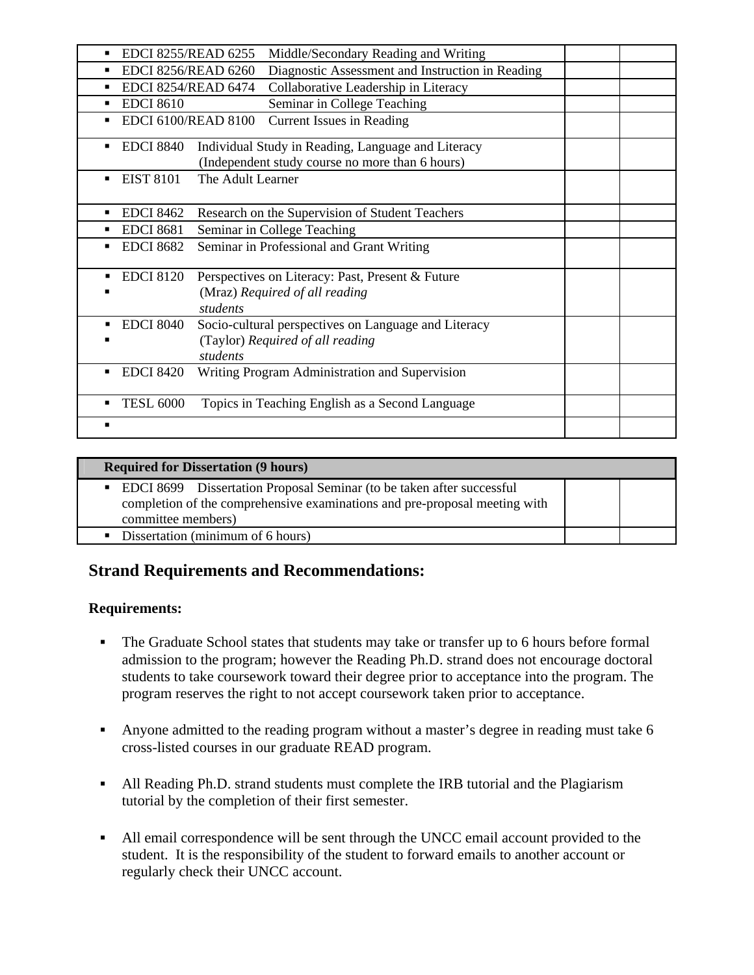| <b>EDCI 8255/READ 6255</b>      | Middle/Secondary Reading and Writing                                                                  |  |
|---------------------------------|-------------------------------------------------------------------------------------------------------|--|
| <b>EDCI 8256/READ 6260</b>      | Diagnostic Assessment and Instruction in Reading                                                      |  |
| <b>EDCI 8254/READ 6474</b><br>٠ | Collaborative Leadership in Literacy                                                                  |  |
| <b>EDCI 8610</b>                | Seminar in College Teaching                                                                           |  |
| <b>EDCI 6100/READ 8100</b>      | <b>Current Issues in Reading</b>                                                                      |  |
| <b>EDCI 8840</b>                | Individual Study in Reading, Language and Literacy<br>(Independent study course no more than 6 hours) |  |
| <b>EIST 8101</b>                | The Adult Learner                                                                                     |  |
| <b>EDCI 8462</b>                | Research on the Supervision of Student Teachers                                                       |  |
| <b>EDCI 8681</b>                | Seminar in College Teaching                                                                           |  |
| <b>EDCI 8682</b>                | Seminar in Professional and Grant Writing                                                             |  |
| <b>EDCI 8120</b>                | Perspectives on Literacy: Past, Present & Future<br>(Mraz) Required of all reading<br>students        |  |
| <b>EDCI 8040</b>                | Socio-cultural perspectives on Language and Literacy<br>(Taylor) Required of all reading<br>students  |  |
| <b>EDCI 8420</b>                | Writing Program Administration and Supervision                                                        |  |
| <b>TESL 6000</b>                | Topics in Teaching English as a Second Language                                                       |  |
| п                               |                                                                                                       |  |

#### **Required for Dissertation (9 hours)**

| • EDCI 8699 Dissertation Proposal Seminar (to be taken after successful    |  |  |
|----------------------------------------------------------------------------|--|--|
| completion of the comprehensive examinations and pre-proposal meeting with |  |  |
| committee members)                                                         |  |  |
| • Dissertation (minimum of 6 hours)                                        |  |  |

# **Strand Requirements and Recommendations:**

# **Requirements:**

- The Graduate School states that students may take or transfer up to 6 hours before formal admission to the program; however the Reading Ph.D. strand does not encourage doctoral students to take coursework toward their degree prior to acceptance into the program. The program reserves the right to not accept coursework taken prior to acceptance.
- Anyone admitted to the reading program without a master's degree in reading must take 6 cross-listed courses in our graduate READ program.
- All Reading Ph.D. strand students must complete the IRB tutorial and the Plagiarism tutorial by the completion of their first semester.
- All email correspondence will be sent through the UNCC email account provided to the student. It is the responsibility of the student to forward emails to another account or regularly check their UNCC account.